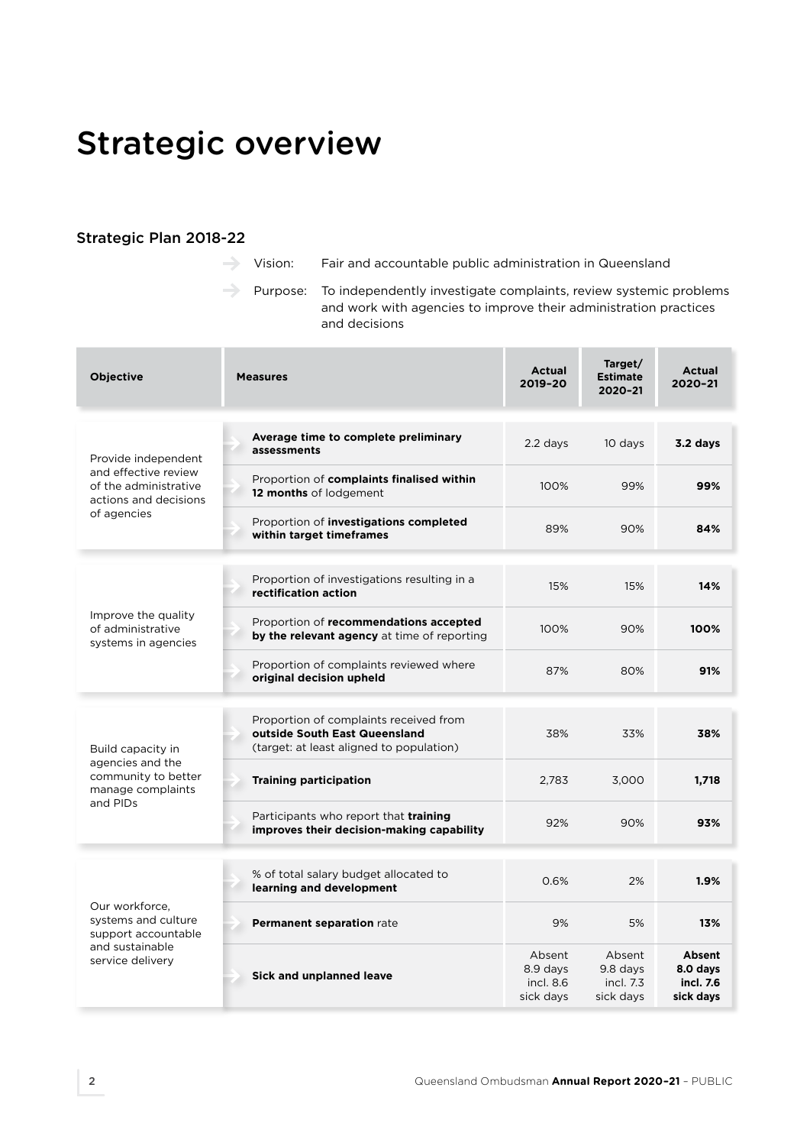# Strategic overview

#### Strategic Plan 2018-22

Vision: Fair and accountable public administration in Queensland

 $\rightarrow$  Purpose: To independently investigate complaints, review systemic problems and work with agencies to improve their administration practices and decisions

| <b>Objective</b>                                                                                             | <b>Measures</b>                                                                                                     | Actual<br>2019-20                            | Target/<br><b>Estimate</b><br>2020-21        | <b>Actual</b><br>2020-21                            |
|--------------------------------------------------------------------------------------------------------------|---------------------------------------------------------------------------------------------------------------------|----------------------------------------------|----------------------------------------------|-----------------------------------------------------|
| Provide independent<br>and effective review<br>of the administrative<br>actions and decisions<br>of agencies | Average time to complete preliminary<br>assessments                                                                 | 2.2 days                                     | 10 days                                      | 3.2 days                                            |
|                                                                                                              | Proportion of complaints finalised within<br>12 months of lodgement                                                 | 100%                                         | 99%                                          | 99%                                                 |
|                                                                                                              | Proportion of investigations completed<br>within target timeframes                                                  | 89%                                          | 90%                                          | 84%                                                 |
| Improve the quality<br>of administrative<br>systems in agencies                                              | Proportion of investigations resulting in a<br>rectification action                                                 | 15%                                          | 15%                                          | 14%                                                 |
|                                                                                                              | Proportion of recommendations accepted<br>by the relevant agency at time of reporting                               | 100%                                         | 90%                                          | 100%                                                |
|                                                                                                              | Proportion of complaints reviewed where<br>original decision upheld                                                 | 87%                                          | 80%                                          | 91%                                                 |
| Build capacity in<br>agencies and the<br>community to better<br>manage complaints<br>and PIDs                | Proportion of complaints received from<br>outside South East Queensland<br>(target: at least aligned to population) | 38%                                          | 33%                                          | 38%                                                 |
|                                                                                                              | <b>Training participation</b>                                                                                       | 2,783                                        | 3,000                                        | 1,718                                               |
|                                                                                                              | Participants who report that <b>training</b><br>improves their decision-making capability                           | 92%                                          | 90%                                          | 93%                                                 |
| Our workforce.<br>systems and culture<br>support accountable<br>and sustainable<br>service delivery          | % of total salary budget allocated to<br>learning and development                                                   | 0.6%                                         | 2%                                           | 1.9%                                                |
|                                                                                                              | Permanent separation rate                                                                                           | 9%                                           | 5%                                           | 13%                                                 |
|                                                                                                              | Sick and unplanned leave                                                                                            | Absent<br>8.9 days<br>incl. 8.6<br>sick days | Absent<br>9.8 days<br>incl. 7.3<br>sick days | <b>Absent</b><br>8.0 days<br>incl. 7.6<br>sick days |